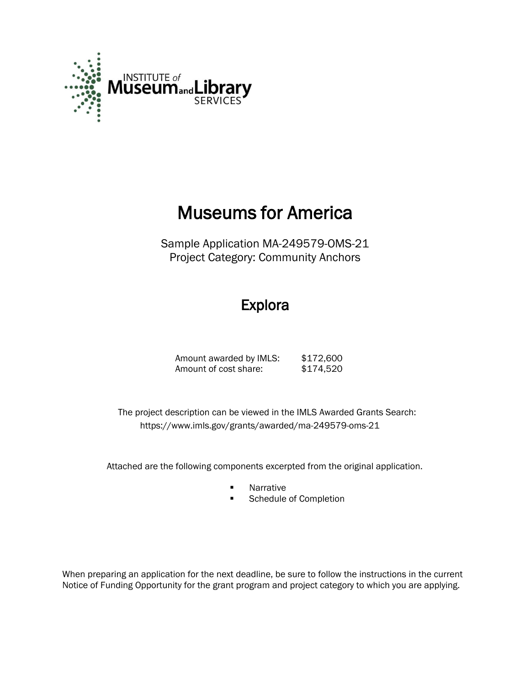

# Museums for America

Sample Application MA-249579-OMS-21 Project Category: Community Anchors

## Explora

Amount awarded by IMLS: \$172,600 Amount of cost share: \$174,520

 The project description can be viewed in the IMLS Awarded Grants Search: <https://www.imls.gov/grants/awarded/ma-249579-oms-21>

Attached are the following components excerpted from the original application.

- **Narrative**
- **Schedule of Completion**

When preparing an application for the next deadline, be sure to follow the instructions in the current Notice of Funding Opportunity for the grant program and project category to which you are applying.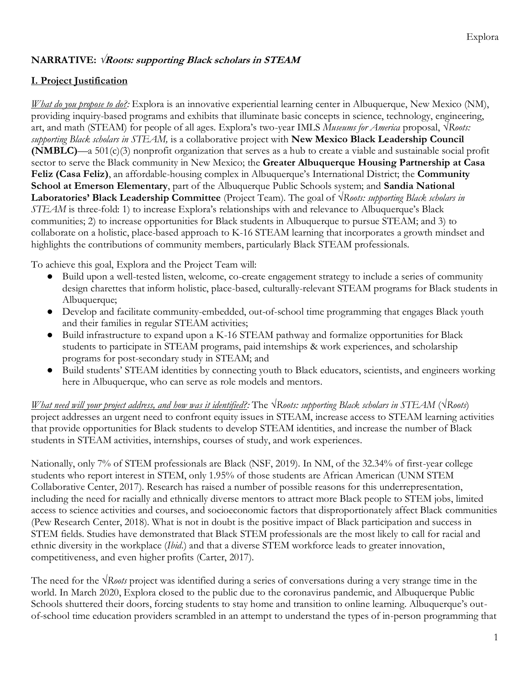#### **NARRATIVE: √Roots: supporting Black scholars in STEAM**

### **I. Project Justification**

*What do you propose to do?:* Explora is an innovative experiential learning center in Albuquerque, New Mexico (NM), providing inquiry-based programs and exhibits that illuminate basic concepts in science, technology, engineering, art, and math (STEAM) for people of all ages. Explora's two-year IMLS *Museums for America* proposal, *√Roots: supporting Black scholars in STEAM,* is a collaborative project with **New Mexico Black Leadership Council (NMBLC)**—a 501(c)(3) nonprofit organization that serves as a hub to create a viable and sustainable social profit sector to serve the Black community in New Mexico; the **Greater Albuquerque Housing Partnership at Casa Feliz (Casa Feliz)**, an affordable-housing complex in Albuquerque's International District; the **Community School at Emerson Elementary**, part of the Albuquerque Public Schools system; and **Sandia National Laboratories' Black Leadership Committee** (Project Team). The goal of *√Roots: supporting Black scholars in STEAM* is three-fold: 1) to increase Explora's relationships with and relevance to Albuquerque's Black communities; 2) to increase opportunities for Black students in Albuquerque to pursue STEAM; and 3) to collaborate on a holistic, place-based approach to K-16 STEAM learning that incorporates a growth mindset and highlights the contributions of community members, particularly Black STEAM professionals.

To achieve this goal, Explora and the Project Team will:

- Build upon a well-tested listen, welcome, co-create engagement strategy to include a series of community design charettes that inform holistic, place-based, culturally-relevant STEAM programs for Black students in Albuquerque;
- Develop and facilitate community-embedded, out-of-school time programming that engages Black youth and their families in regular STEAM activities;
- Build infrastructure to expand upon a K-16 STEAM pathway and formalize opportunities for Black students to participate in STEAM programs, paid internships & work experiences, and scholarship programs for post-secondary study in STEAM; and
- Build students' STEAM identities by connecting youth to Black educators, scientists, and engineers working here in Albuquerque, who can serve as role models and mentors.

*What need will your project address, and how was it identified?:* The *√Roots: supporting Black scholars in STEAM* (*√Roots*) project addresses an urgent need to confront equity issues in STEAM, increase access to STEAM learning activities that provide opportunities for Black students to develop STEAM identities, and increase the number of Black students in STEAM activities, internships, courses of study, and work experiences.

Nationally, only 7% of STEM professionals are Black (NSF, 2019). In NM, of the 32.34% of first-year college students who report interest in STEM, only 1.95% of those students are African American (UNM STEM Collaborative Center, 2017). Research has raised a number of possible reasons for this underrepresentation, including the need for racially and ethnically diverse mentors to attract more Black people to STEM jobs, limited access to science activities and courses, and socioeconomic factors that disproportionately affect Black communities (Pew Research Center, 2018). What is not in doubt is the positive impact of Black participation and success in STEM fields. Studies have demonstrated that Black STEM professionals are the most likely to call for racial and ethnic diversity in the workplace (*Ibid*.) and that a diverse STEM workforce leads to greater innovation, competitiveness, and even higher profits (Carter, 2017).

The need for the *√Roots* project was identified during a series of conversations during a very strange time in the world. In March 2020, Explora closed to the public due to the coronavirus pandemic, and Albuquerque Public Schools shuttered their doors, forcing students to stay home and transition to online learning. Albuquerque's outof-school time education providers scrambled in an attempt to understand the types of in-person programming that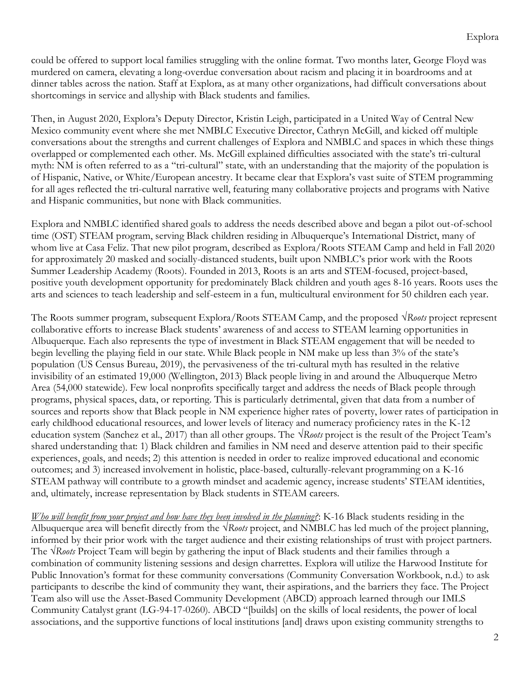could be offered to support local families struggling with the online format. Two months later, George Floyd was murdered on camera, elevating a long-overdue conversation about racism and placing it in boardrooms and at dinner tables across the nation. Staff at Explora, as at many other organizations, had difficult conversations about shortcomings in service and allyship with Black students and families.

Then, in August 2020, Explora's Deputy Director, Kristin Leigh, participated in a United Way of Central New Mexico community event where she met NMBLC Executive Director, Cathryn McGill, and kicked off multiple conversations about the strengths and current challenges of Explora and NMBLC and spaces in which these things overlapped or complemented each other. Ms. McGill explained difficulties associated with the state's tri-cultural myth: NM is often referred to as a "tri-cultural" state, with an understanding that the majority of the population is of Hispanic, Native, or White/European ancestry. It became clear that Explora's vast suite of STEM programming for all ages reflected the tri-cultural narrative well, featuring many collaborative projects and programs with Native and Hispanic communities, but none with Black communities.

Explora and NMBLC identified shared goals to address the needs described above and began a pilot out-of-school time (OST) STEAM program, serving Black children residing in Albuquerque's International District, many of whom live at Casa Feliz. That new pilot program, described as Explora/Roots STEAM Camp and held in Fall 2020 for approximately 20 masked and socially-distanced students, built upon NMBLC's prior work with the Roots Summer Leadership Academy (Roots). Founded in 2013, Roots is an arts and STEM-focused, project-based, positive youth development opportunity for predominately Black children and youth ages 8-16 years. Roots uses the arts and sciences to teach leadership and self-esteem in a fun, multicultural environment for 50 children each year.

The Roots summer program, subsequent Explora/Roots STEAM Camp, and the proposed *√Roots* project represent collaborative efforts to increase Black students' awareness of and access to STEAM learning opportunities in Albuquerque. Each also represents the type of investment in Black STEAM engagement that will be needed to begin levelling the playing field in our state. While Black people in NM make up less than 3% of the state's population (US Census Bureau, 2019), the pervasiveness of the tri-cultural myth has resulted in the relative invisibility of an estimated 19,000 (Wellington, 2013) Black people living in and around the Albuquerque Metro Area (54,000 statewide). Few local nonprofits specifically target and address the needs of Black people through programs, physical spaces, data, or reporting. This is particularly detrimental, given that data from a number of sources and reports show that Black people in NM experience higher rates of poverty, lower rates of participation in early childhood educational resources, and lower levels of literacy and numeracy proficiency rates in the K-12 education system (Sanchez et al., 2017) than all other groups. The *√Roots* project is the result of the Project Team's shared understanding that: 1) Black children and families in NM need and deserve attention paid to their specific experiences, goals, and needs; 2) this attention is needed in order to realize improved educational and economic outcomes; and 3) increased involvement in holistic, place-based, culturally-relevant programming on a K-16 STEAM pathway will contribute to a growth mindset and academic agency, increase students' STEAM identities, and, ultimately, increase representation by Black students in STEAM careers.

*Who will benefit from your project and how have they been involved in the planning?*: K-16 Black students residing in the Albuquerque area will benefit directly from the *√Roots* project, and NMBLC has led much of the project planning, informed by their prior work with the target audience and their existing relationships of trust with project partners. The *√Roots* Project Team will begin by gathering the input of Black students and their families through a combination of community listening sessions and design charrettes. Explora will utilize the Harwood Institute for Public Innovation's format for these community conversations (Community Conversation Workbook, n.d.) to ask participants to describe the kind of community they want, their aspirations, and the barriers they face. The Project Team also will use the Asset-Based Community Development (ABCD) approach learned through our IMLS Community Catalyst grant (LG-94-17-0260). ABCD "[builds] on the skills of local residents, the power of local associations, and the supportive functions of local institutions [and] draws upon existing community strengths to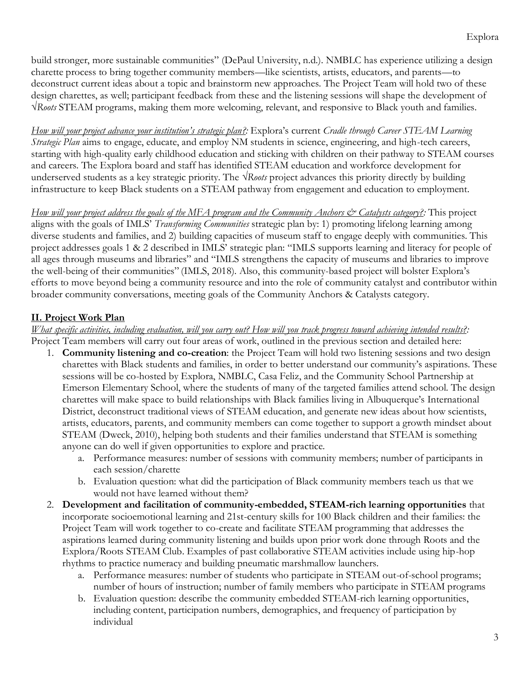build stronger, more sustainable communities" (DePaul University, n.d.). NMBLC has experience utilizing a design charette process to bring together community members—like scientists, artists, educators, and parents—to deconstruct current ideas about a topic and brainstorm new approaches. The Project Team will hold two of these design charettes, as well; participant feedback from these and the listening sessions will shape the development of *√Roots* STEAM programs, making them more welcoming, relevant, and responsive to Black youth and families.

*How will your project advance your institution's strategic plan?:* Explora's current *Cradle through Career STEAM Learning Strategic Plan* aims to engage, educate, and employ NM students in science, engineering, and high-tech careers, starting with high-quality early childhood education and sticking with children on their pathway to STEAM courses and careers. The Explora board and staff has identified STEAM education and workforce development for underserved students as a key strategic priority. The *√Roots* project advances this priority directly by building infrastructure to keep Black students on a STEAM pathway from engagement and education to employment.

*How will your project address the goals of the MFA program and the Community Anchors & Catalysts category?:* This project aligns with the goals of IMLS' *Transforming Communities* strategic plan by: 1) promoting lifelong learning among diverse students and families, and 2) building capacities of museum staff to engage deeply with communities. This project addresses goals 1 & 2 described in IMLS' strategic plan: "IMLS supports learning and literacy for people of all ages through museums and libraries" and "IMLS strengthens the capacity of museums and libraries to improve the well-being of their communities" (IMLS, 2018). Also, this community-based project will bolster Explora's efforts to move beyond being a community resource and into the role of community catalyst and contributor within broader community conversations, meeting goals of the Community Anchors & Catalysts category.

#### **II. Project Work Plan**

#### *What specific activities, including evaluation, will you carry out? How will you track progress toward achieving intended results?:*  Project Team members will carry out four areas of work, outlined in the previous section and detailed here:

- 1. **Community listening and co-creation**: the Project Team will hold two listening sessions and two design charettes with Black students and families, in order to better understand our community's aspirations. These sessions will be co-hosted by Explora, NMBLC, Casa Feliz, and the Community School Partnership at Emerson Elementary School, where the students of many of the targeted families attend school. The design charettes will make space to build relationships with Black families living in Albuquerque's International District, deconstruct traditional views of STEAM education, and generate new ideas about how scientists, artists, educators, parents, and community members can come together to support a growth mindset about STEAM (Dweck, 2010), helping both students and their families understand that STEAM is something anyone can do well if given opportunities to explore and practice.
	- a. Performance measures: number of sessions with community members; number of participants in each session/charette
	- b. Evaluation question: what did the participation of Black community members teach us that we would not have learned without them?
- 2. **Development and facilitation of community-embedded, STEAM-rich learning opportunities** that incorporate socioemotional learning and 21st-century skills for 100 Black children and their families: the Project Team will work together to co-create and facilitate STEAM programming that addresses the aspirations learned during community listening and builds upon prior work done through Roots and the Explora/Roots STEAM Club. Examples of past collaborative STEAM activities include using hip-hop rhythms to practice numeracy and building pneumatic marshmallow launchers.
	- a. Performance measures: number of students who participate in STEAM out-of-school programs; number of hours of instruction; number of family members who participate in STEAM programs
	- b. Evaluation question: describe the community embedded STEAM-rich learning opportunities, including content, participation numbers, demographics, and frequency of participation by individual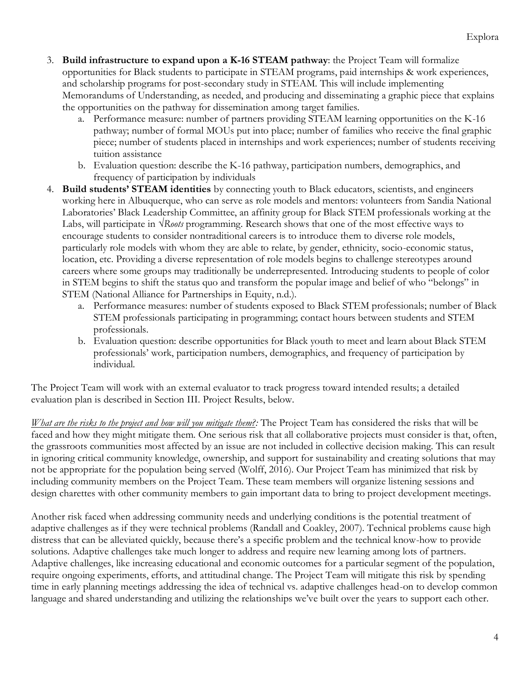- 3. **Build infrastructure to expand upon a K-16 STEAM pathway**: the Project Team will formalize opportunities for Black students to participate in STEAM programs, paid internships & work experiences, and scholarship programs for post-secondary study in STEAM. This will include implementing Memorandums of Understanding, as needed, and producing and disseminating a graphic piece that explains the opportunities on the pathway for dissemination among target families.
	- a. Performance measure: number of partners providing STEAM learning opportunities on the K-16 pathway; number of formal MOUs put into place; number of families who receive the final graphic piece; number of students placed in internships and work experiences; number of students receiving tuition assistance
	- b. Evaluation question: describe the K-16 pathway, participation numbers, demographics, and frequency of participation by individuals
- 4. **Build students' STEAM identities** by connecting youth to Black educators, scientists, and engineers working here in Albuquerque, who can serve as role models and mentors: volunteers from Sandia National Laboratories' Black Leadership Committee, an affinity group for Black STEM professionals working at the Labs, will participate in *√Roots* programming. Research shows that one of the most effective ways to encourage students to consider nontraditional careers is to introduce them to diverse role models, particularly role models with whom they are able to relate, by gender, ethnicity, socio-economic status, location, etc. Providing a diverse representation of role models begins to challenge stereotypes around careers where some groups may traditionally be underrepresented. Introducing students to people of color in STEM begins to shift the status quo and transform the popular image and belief of who "belongs" in STEM (National Alliance for Partnerships in Equity, n.d.).
	- a. Performance measures: number of students exposed to Black STEM professionals; number of Black STEM professionals participating in programming; contact hours between students and STEM professionals.
	- b. Evaluation question: describe opportunities for Black youth to meet and learn about Black STEM professionals' work, participation numbers, demographics, and frequency of participation by individual.

The Project Team will work with an external evaluator to track progress toward intended results; a detailed evaluation plan is described in Section III. Project Results, below.

*What are the risks to the project and how will you mitigate them?:* The Project Team has considered the risks that will be faced and how they might mitigate them. One serious risk that all collaborative projects must consider is that, often, the grassroots communities most affected by an issue are not included in collective decision making. This can result in ignoring critical community knowledge, ownership, and support for sustainability and creating solutions that may not be appropriate for the population being served (Wolff, 2016). Our Project Team has minimized that risk by including community members on the Project Team. These team members will organize listening sessions and design charettes with other community members to gain important data to bring to project development meetings.

Another risk faced when addressing community needs and underlying conditions is the potential treatment of adaptive challenges as if they were technical problems (Randall and Coakley, 2007). Technical problems cause high distress that can be alleviated quickly, because there's a specific problem and the technical know-how to provide solutions. Adaptive challenges take much longer to address and require new learning among lots of partners. Adaptive challenges, like increasing educational and economic outcomes for a particular segment of the population, require ongoing experiments, efforts, and attitudinal change. The Project Team will mitigate this risk by spending time in early planning meetings addressing the idea of technical vs. adaptive challenges head-on to develop common language and shared understanding and utilizing the relationships we've built over the years to support each other.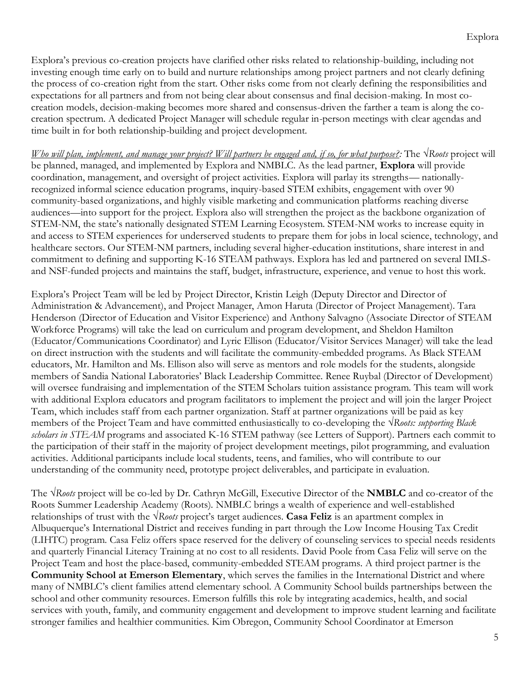Explora's previous co-creation projects have clarified other risks related to relationship-building, including not investing enough time early on to build and nurture relationships among project partners and not clearly defining the process of co-creation right from the start. Other risks come from not clearly defining the responsibilities and expectations for all partners and from not being clear about consensus and final decision-making. In most cocreation models, decision-making becomes more shared and consensus-driven the farther a team is along the cocreation spectrum. A dedicated Project Manager will schedule regular in-person meetings with clear agendas and time built in for both relationship-building and project development.

*Who will plan, implement, and manage your project? Will partners be engaged and, if so, for what purpose?*: The √Roots project will be planned, managed, and implemented by Explora and NMBLC. As the lead partner, **Explora** will provide coordination, management, and oversight of project activities. Explora will parlay its strengths— nationallyrecognized informal science education programs, inquiry-based STEM exhibits, engagement with over 90 community-based organizations, and highly visible marketing and communication platforms reaching diverse audiences—into support for the project. Explora also will strengthen the project as the backbone organization of STEM-NM, the state's nationally designated STEM Learning Ecosystem. STEM-NM works to increase equity in and access to STEM experiences for underserved students to prepare them for jobs in local science, technology, and healthcare sectors. Our STEM-NM partners, including several higher-education institutions, share interest in and commitment to defining and supporting K-16 STEAM pathways. Explora has led and partnered on several IMLSand NSF-funded projects and maintains the staff, budget, infrastructure, experience, and venue to host this work.

Explora's Project Team will be led by Project Director, Kristin Leigh (Deputy Director and Director of Administration & Advancement), and Project Manager, Amon Haruta (Director of Project Management). Tara Henderson (Director of Education and Visitor Experience) and Anthony Salvagno (Associate Director of STEAM Workforce Programs) will take the lead on curriculum and program development, and Sheldon Hamilton (Educator/Communications Coordinator) and Lyric Ellison (Educator/Visitor Services Manager) will take the lead on direct instruction with the students and will facilitate the community-embedded programs. As Black STEAM educators, Mr. Hamilton and Ms. Ellison also will serve as mentors and role models for the students, alongside members of Sandia National Laboratories' Black Leadership Committee. Renee Ruybal (Director of Development) will oversee fundraising and implementation of the STEM Scholars tuition assistance program. This team will work with additional Explora educators and program facilitators to implement the project and will join the larger Project Team, which includes staff from each partner organization. Staff at partner organizations will be paid as key members of the Project Team and have committed enthusiastically to co-developing the *√Roots: supporting Black scholars in STEAM* programs and associated K-16 STEM pathway (see Letters of Support). Partners each commit to the participation of their staff in the majority of project development meetings, pilot programming, and evaluation activities. Additional participants include local students, teens, and families, who will contribute to our understanding of the community need, prototype project deliverables, and participate in evaluation.

The *√Roots* project will be co-led by Dr. Cathryn McGill, Executive Director of the **NMBLC** and co-creator of the Roots Summer Leadership Academy (Roots). NMBLC brings a wealth of experience and well-established relationships of trust with the *√Roots* project's target audiences. **Casa Feliz** is an apartment complex in Albuquerque's International District and receives funding in part through the Low Income Housing Tax Credit (LIHTC) program. Casa Feliz offers space reserved for the delivery of counseling services to special needs residents and quarterly Financial Literacy Training at no cost to all residents. David Poole from Casa Feliz will serve on the Project Team and host the place-based, community-embedded STEAM programs. A third project partner is the **Community School at Emerson Elementary**, which serves the families in the International District and where many of NMBLC's client families attend elementary school. A Community School builds partnerships between the school and other community resources. Emerson fulfills this role by integrating academics, health, and social services with youth, family, and community engagement and development to improve student learning and facilitate stronger families and healthier communities. Kim Obregon, Community School Coordinator at Emerson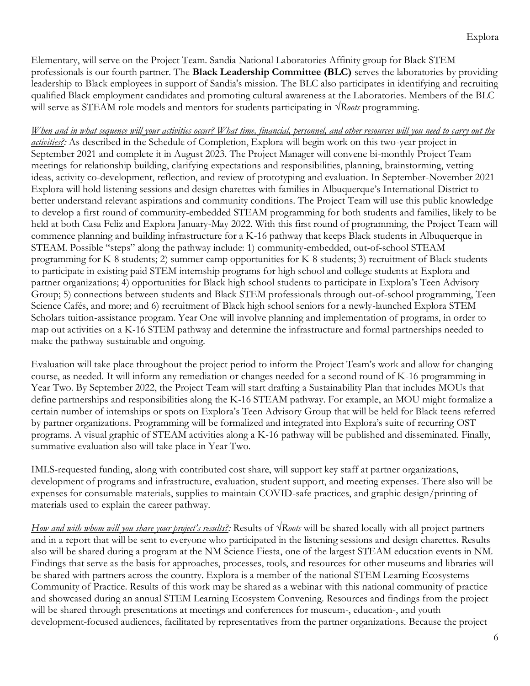Elementary, will serve on the Project Team. Sandia National Laboratories Affinity group for Black STEM professionals is our fourth partner. The **Black Leadership Committee (BLC)** serves the laboratories by providing leadership to Black employees in support of Sandia's mission. The BLC also participates in identifying and recruiting qualified Black employment candidates and promoting cultural awareness at the Laboratories. Members of the BLC will serve as STEAM role models and mentors for students participating in *√Roots* programming.

*When and in what sequence will your activities occur? What time, financial, personnel, and other resources will you need to carry out the activities?:* As described in the Schedule of Completion, Explora will begin work on this two-year project in September 2021 and complete it in August 2023. The Project Manager will convene bi-monthly Project Team meetings for relationship building, clarifying expectations and responsibilities, planning, brainstorming, vetting ideas, activity co-development, reflection, and review of prototyping and evaluation. In September-November 2021 Explora will hold listening sessions and design charettes with families in Albuquerque's International District to better understand relevant aspirations and community conditions. The Project Team will use this public knowledge to develop a first round of community-embedded STEAM programming for both students and families, likely to be held at both Casa Feliz and Explora January-May 2022. With this first round of programming, the Project Team will commence planning and building infrastructure for a K-16 pathway that keeps Black students in Albuquerque in STEAM. Possible "steps" along the pathway include: 1) community-embedded, out-of-school STEAM programming for K-8 students; 2) summer camp opportunities for K-8 students; 3) recruitment of Black students to participate in existing paid STEM internship programs for high school and college students at Explora and partner organizations; 4) opportunities for Black high school students to participate in Explora's Teen Advisory Group; 5) connections between students and Black STEM professionals through out-of-school programming, Teen Science Cafés, and more; and 6) recruitment of Black high school seniors for a newly-launched Explora STEM Scholars tuition-assistance program. Year One will involve planning and implementation of programs, in order to map out activities on a K-16 STEM pathway and determine the infrastructure and formal partnerships needed to make the pathway sustainable and ongoing.

Evaluation will take place throughout the project period to inform the Project Team's work and allow for changing course, as needed. It will inform any remediation or changes needed for a second round of K-16 programming in Year Two. By September 2022, the Project Team will start drafting a Sustainability Plan that includes MOUs that define partnerships and responsibilities along the K-16 STEAM pathway. For example, an MOU might formalize a certain number of internships or spots on Explora's Teen Advisory Group that will be held for Black teens referred by partner organizations. Programming will be formalized and integrated into Explora's suite of recurring OST programs. A visual graphic of STEAM activities along a K-16 pathway will be published and disseminated. Finally, summative evaluation also will take place in Year Two.

IMLS-requested funding, along with contributed cost share, will support key staff at partner organizations, development of programs and infrastructure, evaluation, student support, and meeting expenses. There also will be expenses for consumable materials, supplies to maintain COVID-safe practices, and graphic design/printing of materials used to explain the career pathway.

*How and with whom will you share your project's results?:* Results of *√Roots* will be shared locally with all project partners and in a report that will be sent to everyone who participated in the listening sessions and design charettes. Results also will be shared during a program at the NM Science Fiesta, one of the largest STEAM education events in NM. Findings that serve as the basis for approaches, processes, tools, and resources for other museums and libraries will be shared with partners across the country. Explora is a member of the national STEM Learning Ecosystems Community of Practice. Results of this work may be shared as a webinar with this national community of practice and showcased during an annual STEM Learning Ecosystem Convening. Resources and findings from the project will be shared through presentations at meetings and conferences for museum-, education-, and youth development-focused audiences, facilitated by representatives from the partner organizations. Because the project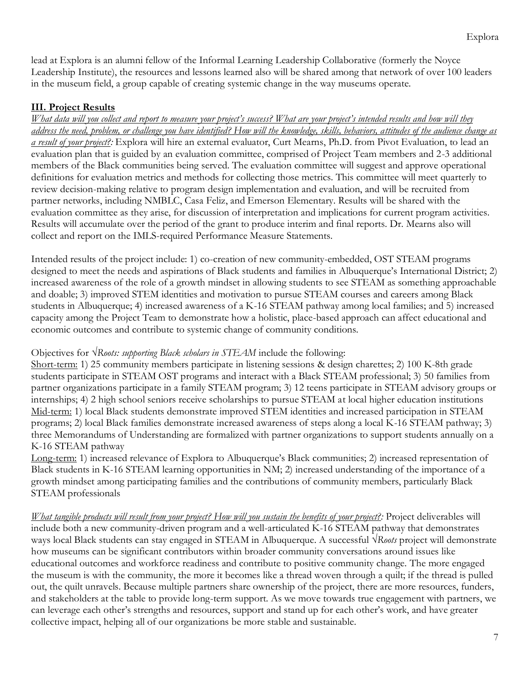lead at Explora is an alumni fellow of the Informal Learning Leadership Collaborative (formerly the Noyce Leadership Institute), the resources and lessons learned also will be shared among that network of over 100 leaders in the museum field, a group capable of creating systemic change in the way museums operate.

#### **III. Project Results**

*What data will you collect and report to measure your project's success? What are your project's intended results and how will they address the need, problem, or challenge you have identified? How will the knowledge, skills, behaviors, attitudes of the audience change as a result of your project?:* Explora will hire an external evaluator, Curt Mearns, Ph.D. from Pivot Evaluation, to lead an evaluation plan that is guided by an evaluation committee, comprised of Project Team members and 2-3 additional members of the Black communities being served. The evaluation committee will suggest and approve operational definitions for evaluation metrics and methods for collecting those metrics. This committee will meet quarterly to review decision-making relative to program design implementation and evaluation, and will be recruited from partner networks, including NMBLC, Casa Feliz, and Emerson Elementary. Results will be shared with the evaluation committee as they arise, for discussion of interpretation and implications for current program activities. Results will accumulate over the period of the grant to produce interim and final reports. Dr. Mearns also will collect and report on the IMLS-required Performance Measure Statements.

Intended results of the project include: 1) co-creation of new community-embedded, OST STEAM programs designed to meet the needs and aspirations of Black students and families in Albuquerque's International District; 2) increased awareness of the role of a growth mindset in allowing students to see STEAM as something approachable and doable; 3) improved STEM identities and motivation to pursue STEAM courses and careers among Black students in Albuquerque; 4) increased awareness of a K-16 STEAM pathway among local families; and 5) increased capacity among the Project Team to demonstrate how a holistic, place-based approach can affect educational and economic outcomes and contribute to systemic change of community conditions.

#### Objectives for *√Roots: supporting Black scholars in STEAM* include the following:

Short-term: 1) 25 community members participate in listening sessions & design charettes; 2) 100 K-8th grade students participate in STEAM OST programs and interact with a Black STEAM professional; 3) 50 families from partner organizations participate in a family STEAM program; 3) 12 teens participate in STEAM advisory groups or internships; 4) 2 high school seniors receive scholarships to pursue STEAM at local higher education institutions Mid-term: 1) local Black students demonstrate improved STEM identities and increased participation in STEAM programs; 2) local Black families demonstrate increased awareness of steps along a local K-16 STEAM pathway; 3) three Memorandums of Understanding are formalized with partner organizations to support students annually on a K-16 STEAM pathway

Long-term: 1) increased relevance of Explora to Albuquerque's Black communities; 2) increased representation of Black students in K-16 STEAM learning opportunities in NM; 2) increased understanding of the importance of a growth mindset among participating families and the contributions of community members, particularly Black STEAM professionals

*What tangible products will result from your project? How will you sustain the benefits of your project?:* Project deliverables will include both a new community-driven program and a well-articulated K-16 STEAM pathway that demonstrates ways local Black students can stay engaged in STEAM in Albuquerque. A successful *√Roots* project will demonstrate how museums can be significant contributors within broader community conversations around issues like educational outcomes and workforce readiness and contribute to positive community change. The more engaged the museum is with the community, the more it becomes like a thread woven through a quilt; if the thread is pulled out, the quilt unravels. Because multiple partners share ownership of the project, there are more resources, funders, and stakeholders at the table to provide long-term support. As we move towards true engagement with partners, we can leverage each other's strengths and resources, support and stand up for each other's work, and have greater collective impact, helping all of our organizations be more stable and sustainable.